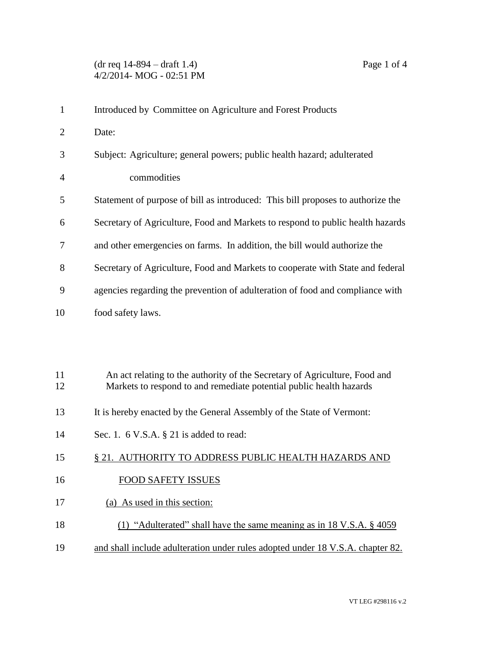## (dr req 14-894 – draft 1.4) Page 1 of 4 4/2/2014- MOG - 02:51 PM

| $\mathbf{1}$   | Introduced by Committee on Agriculture and Forest Products                                                                                        |
|----------------|---------------------------------------------------------------------------------------------------------------------------------------------------|
| $\overline{2}$ | Date:                                                                                                                                             |
| 3              | Subject: Agriculture; general powers; public health hazard; adulterated                                                                           |
| 4              | commodities                                                                                                                                       |
| 5              | Statement of purpose of bill as introduced: This bill proposes to authorize the                                                                   |
| 6              | Secretary of Agriculture, Food and Markets to respond to public health hazards                                                                    |
| 7              | and other emergencies on farms. In addition, the bill would authorize the                                                                         |
| 8              | Secretary of Agriculture, Food and Markets to cooperate with State and federal                                                                    |
| 9              | agencies regarding the prevention of adulteration of food and compliance with                                                                     |
| 10             | food safety laws.                                                                                                                                 |
|                |                                                                                                                                                   |
|                |                                                                                                                                                   |
| 11<br>12       | An act relating to the authority of the Secretary of Agriculture, Food and<br>Markets to respond to and remediate potential public health hazards |
| 13             | It is hereby enacted by the General Assembly of the State of Vermont:                                                                             |
| 14             | Sec. 1. $6$ V.S.A. $\S$ 21 is added to read:                                                                                                      |
| 15             | § 21. AUTHORITY TO ADDRESS PUBLIC HEALTH HAZARDS AND                                                                                              |
| 16             | <b>FOOD SAFETY ISSUES</b>                                                                                                                         |
| 17             | (a) As used in this section:                                                                                                                      |

- 18 (1) "Adulterated" shall have the same meaning as in 18 V.S.A. § 4059
- 19 and shall include adulteration under rules adopted under 18 V.S.A. chapter 82.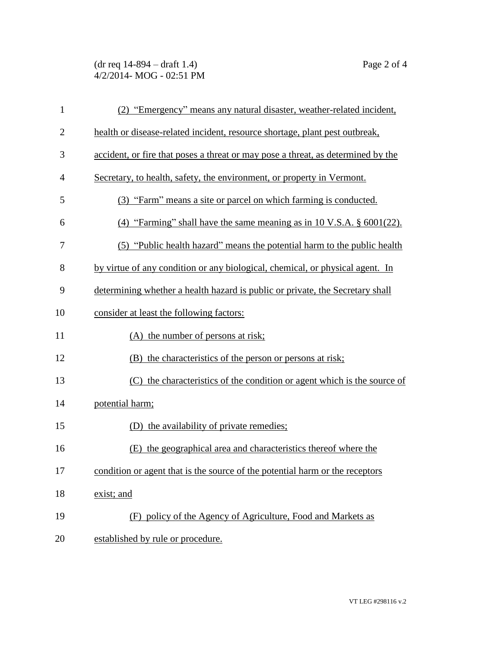## (dr req 14-894 – draft 1.4) Page 2 of 4 4/2/2014- MOG - 02:51 PM

| $\mathbf{1}$   | (2) "Emergency" means any natural disaster, weather-related incident,            |
|----------------|----------------------------------------------------------------------------------|
| $\overline{2}$ | health or disease-related incident, resource shortage, plant pest outbreak,      |
| 3              | accident, or fire that poses a threat or may pose a threat, as determined by the |
| $\overline{4}$ | Secretary, to health, safety, the environment, or property in Vermont.           |
| 5              | (3) "Farm" means a site or parcel on which farming is conducted.                 |
| 6              | (4) "Farming" shall have the same meaning as in 10 V.S.A. $\S$ 6001(22).         |
| 7              | (5) "Public health hazard" means the potential harm to the public health         |
| 8              | by virtue of any condition or any biological, chemical, or physical agent. In    |
| 9              | determining whether a health hazard is public or private, the Secretary shall    |
| 10             | consider at least the following factors:                                         |
| 11             | (A) the number of persons at risk;                                               |
| 12             | (B) the characteristics of the person or persons at risk;                        |
| 13             | (C) the characteristics of the condition or agent which is the source of         |
| 14             | potential harm;                                                                  |
| 15             | (D) the availability of private remedies;                                        |
| 16             | the geographical area and characteristics thereof where the<br>(E)               |
| 17             | condition or agent that is the source of the potential harm or the receptors     |
| 18             | exist; and                                                                       |
| 19             | (F) policy of the Agency of Agriculture, Food and Markets as                     |
| 20             | established by rule or procedure.                                                |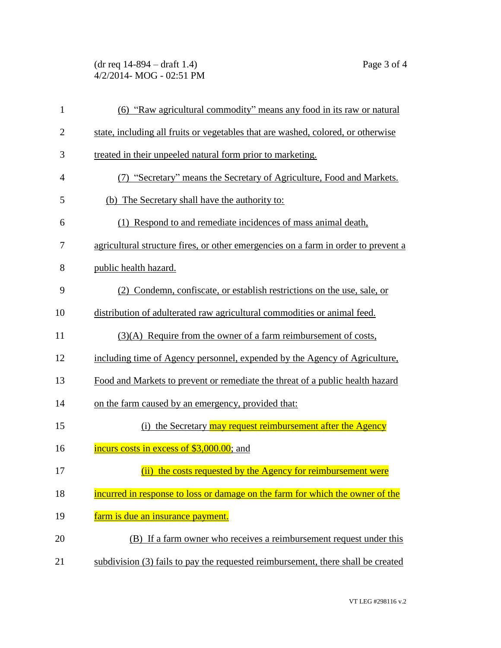(dr req 14-894 – draft 1.4) Page 3 of 4 4/2/2014- MOG - 02:51 PM

| $\mathbf{1}$   | (6) "Raw agricultural commodity" means any food in its raw or natural              |
|----------------|------------------------------------------------------------------------------------|
| $\overline{2}$ | state, including all fruits or vegetables that are washed, colored, or otherwise   |
| 3              | treated in their unpeeled natural form prior to marketing.                         |
| $\overline{4}$ | (7) "Secretary" means the Secretary of Agriculture, Food and Markets.              |
| 5              | (b) The Secretary shall have the authority to:                                     |
| 6              | (1) Respond to and remediate incidences of mass animal death,                      |
| 7              | agricultural structure fires, or other emergencies on a farm in order to prevent a |
| 8              | public health hazard.                                                              |
| 9              | (2) Condemn, confiscate, or establish restrictions on the use, sale, or            |
| 10             | distribution of adulterated raw agricultural commodities or animal feed.           |
| 11             | $(3)(A)$ Require from the owner of a farm reimbursement of costs,                  |
| 12             | including time of Agency personnel, expended by the Agency of Agriculture,         |
| 13             | Food and Markets to prevent or remediate the threat of a public health hazard      |
| 14             | on the farm caused by an emergency, provided that:                                 |
| 15             | (i) the Secretary may request reimbursement after the Agency                       |
| 16             | incurs costs in excess of \$3,000.00; and                                          |
| 17             | (ii) the costs requested by the Agency for reimbursement were                      |
| 18             | incurred in response to loss or damage on the farm for which the owner of the      |
| 19             | farm is due an insurance payment.                                                  |
| 20             | (B) If a farm owner who receives a reimbursement request under this                |
| 21             | subdivision (3) fails to pay the requested reimbursement, there shall be created   |